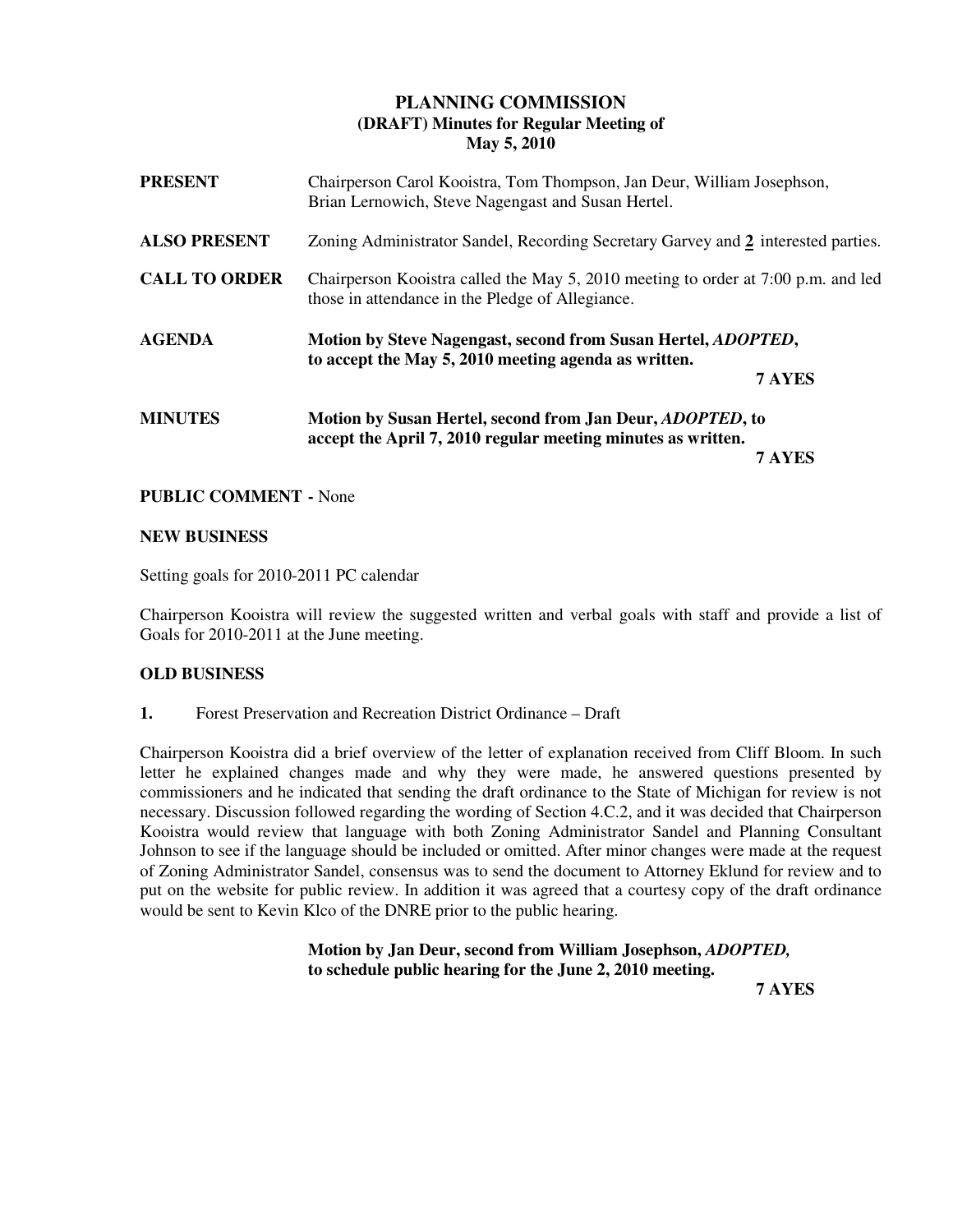# **PLANNING COMMISSION (DRAFT) Minutes for Regular Meeting of May 5, 2010**

| <b>PRESENT</b>       | Chairperson Carol Kooistra, Tom Thompson, Jan Deur, William Josephson,<br>Brian Lernowich, Steve Nagengast and Susan Hertel.          |        |
|----------------------|---------------------------------------------------------------------------------------------------------------------------------------|--------|
| <b>ALSO PRESENT</b>  | Zoning Administrator Sandel, Recording Secretary Garvey and 2 interested parties.                                                     |        |
| <b>CALL TO ORDER</b> | Chairperson Kooistra called the May 5, 2010 meeting to order at 7:00 p.m. and led<br>those in attendance in the Pledge of Allegiance. |        |
| <b>AGENDA</b>        | Motion by Steve Nagengast, second from Susan Hertel, <i>ADOPTED</i> ,<br>to accept the May 5, 2010 meeting agenda as written.         |        |
|                      |                                                                                                                                       | 7 AYES |
| <b>MINUTES</b>       | Motion by Susan Hertel, second from Jan Deur, <i>ADOPTED</i> , to<br>accept the April 7, 2010 regular meeting minutes as written.     |        |
|                      |                                                                                                                                       | 7 AYES |

# **PUBLIC COMMENT -** None

### **NEW BUSINESS**

Setting goals for 2010-2011 PC calendar

Chairperson Kooistra will review the suggested written and verbal goals with staff and provide a list of Goals for 2010-2011 at the June meeting.

### **OLD BUSINESS**

**1.** Forest Preservation and Recreation District Ordinance – Draft

Chairperson Kooistra did a brief overview of the letter of explanation received from Cliff Bloom. In such letter he explained changes made and why they were made, he answered questions presented by commissioners and he indicated that sending the draft ordinance to the State of Michigan for review is not necessary. Discussion followed regarding the wording of Section 4.C.2, and it was decided that Chairperson Kooistra would review that language with both Zoning Administrator Sandel and Planning Consultant Johnson to see if the language should be included or omitted. After minor changes were made at the request of Zoning Administrator Sandel, consensus was to send the document to Attorney Eklund for review and to put on the website for public review. In addition it was agreed that a courtesy copy of the draft ordinance would be sent to Kevin Klco of the DNRE prior to the public hearing.

 **Motion by Jan Deur, second from William Josephson,** *ADOPTED,* **to schedule public hearing for the June 2, 2010 meeting. 7 AYES**